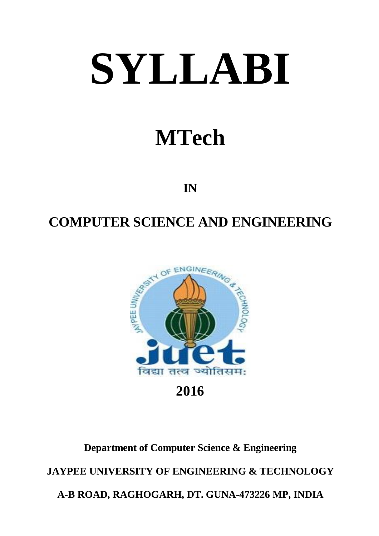# **SYLLABI**

# **MTech**

**IN**

### **COMPUTER SCIENCE AND ENGINEERING**



**2016**

## **Department of Computer Science & Engineering JAYPEE UNIVERSITY OF ENGINEERING & TECHNOLOGY A-B ROAD, RAGHOGARH, DT. GUNA-473226 MP, INDIA**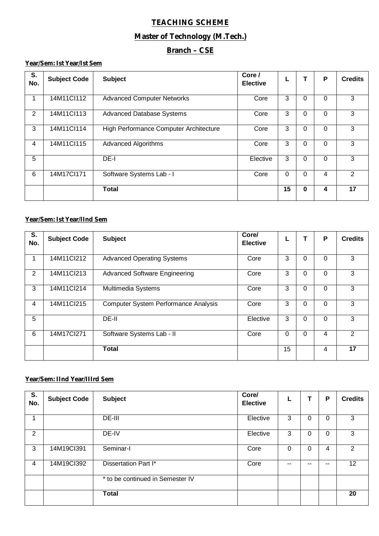#### **TEACHING SCHEME**

#### **Master of Technology (M.Tech.)**

#### **Branch – CSE**

#### **Year/Sem: Ist Year/Ist Sem**

| S.<br>No. | <b>Subject Code</b> | <b>Subject</b>                         | Core /<br><b>Elective</b> |                 |          | P        | <b>Credits</b> |
|-----------|---------------------|----------------------------------------|---------------------------|-----------------|----------|----------|----------------|
| 1         | 14M11Cl112          | <b>Advanced Computer Networks</b>      | Core                      | 3               | 0        | $\Omega$ | 3              |
| 2         | 14M11Cl113          | <b>Advanced Database Systems</b>       | Core                      | 3               | 0        | $\Omega$ | 3              |
| 3         | 14M11Cl114          | High Performance Computer Architecture | Core                      | 3               | 0        | 0        | 3              |
| 4         | 14M11Cl115          | <b>Advanced Algorithms</b>             | Core                      | 3               | 0        | $\Omega$ | 3              |
| 5         |                     | DE-I                                   | Elective                  | 3               | 0        | $\Omega$ | 3              |
| 6         | 14M17Cl171          | Software Systems Lab - I               | Core                      | $\Omega$        | 0        | 4        | 2              |
|           |                     | <b>Total</b>                           |                           | $\overline{15}$ | $\bf{0}$ | 4        | 17             |

#### **Year/Sem: Ist Year/IInd Sem**

| S.<br>No.      | <b>Subject Code</b> | <b>Subject</b>                              | Core/<br><b>Elective</b> |    |          | P        | <b>Credits</b> |
|----------------|---------------------|---------------------------------------------|--------------------------|----|----------|----------|----------------|
| 1              | 14M11Cl212          | <b>Advanced Operating Systems</b>           | Core                     | 3  | $\Omega$ | $\Omega$ | 3              |
| $\overline{2}$ | 14M11Cl213          | <b>Advanced Software Engineering</b>        | Core                     | 3  | $\Omega$ | $\Omega$ | 3              |
| 3              | 14M11Cl214          | Multimedia Systems                          | Core                     | 3  | $\Omega$ | $\Omega$ | 3              |
| 4              | 14M11Cl215          | <b>Computer System Performance Analysis</b> | Core                     | 3  | $\Omega$ | $\Omega$ | 3              |
| 5              |                     | DE-II                                       | Elective                 | 3  | $\Omega$ | $\Omega$ | 3              |
| 6              | 14M17Cl271          | Software Systems Lab - II                   | Core                     | 0  | $\Omega$ | 4        | 2              |
|                |                     | <b>Total</b>                                |                          | 15 |          | 4        | 17             |

#### **Year/Sem: IInd Year/IIIrd Sem**

| S.<br>No.      | <b>Subject Code</b> | <b>Subject</b>                   | Core/<br><b>Elective</b> | L  | T  | P            | <b>Credits</b>  |
|----------------|---------------------|----------------------------------|--------------------------|----|----|--------------|-----------------|
| 1              |                     | DE-III                           | Elective                 | 3  | 0  | $\mathbf{0}$ | 3               |
| 2              |                     | DE-IV                            | Elective                 | 3  | 0  | $\mathbf 0$  | 3               |
| 3              | 14M19Cl391          | Seminar-I                        | Core                     | 0  | 0  | 4            | $\overline{2}$  |
| $\overline{4}$ | 14M19Cl392          | Dissertation Part I*             | Core                     | -- | -- | --           | 12 <sub>2</sub> |
|                |                     | * to be continued in Semester IV |                          |    |    |              |                 |
|                |                     | <b>Total</b>                     |                          |    |    |              | 20              |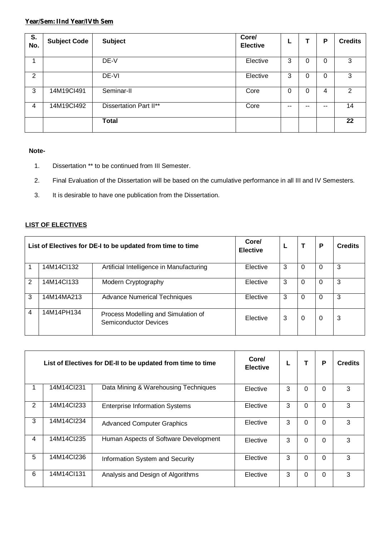#### **Year/Sem: IInd Year/IVth Sem**

| S.<br>No.      | <b>Subject Code</b> | <b>Subject</b>                | Core/<br><b>Elective</b> |    | т        | P  | <b>Credits</b> |
|----------------|---------------------|-------------------------------|--------------------------|----|----------|----|----------------|
|                |                     | DE-V                          | Elective                 | 3  | $\Omega$ | 0  | 3              |
| 2              |                     | DE-VI                         | Elective                 | 3  | 0        | 0  | 3              |
| 3              | 14M19Cl491          | Seminar-II                    | Core                     | 0  | $\Omega$ | 4  | 2              |
| $\overline{4}$ | 14M19Cl492          | <b>Dissertation Part II**</b> | Core                     | -- | $- -$    | -- | 14             |
|                |                     | <b>Total</b>                  |                          |    |          |    | 22             |

#### **Note-**

- 1. Dissertation \*\* to be continued from III Semester.
- 2. Final Evaluation of the Dissertation will be based on the cumulative performance in all III and IV Semesters.
- 3. It is desirable to have one publication from the Dissertation.

#### **LIST OF ELECTIVES**

| List of Electives for DE-I to be updated from time to time |            | Core/<br><b>Elective</b>                                            |          |   | Р | <b>Credits</b> |   |
|------------------------------------------------------------|------------|---------------------------------------------------------------------|----------|---|---|----------------|---|
|                                                            | 14M14Cl132 | Artificial Intelligence in Manufacturing                            | Elective | 3 |   |                | 3 |
| 2                                                          | 14M14Cl133 | Modern Cryptography                                                 | Elective | 3 | 0 | 0              | 3 |
| 3                                                          | 14M14MA213 | <b>Advance Numerical Techniques</b>                                 | Elective | 3 | 0 | 0              | 3 |
| $\overline{4}$                                             | 14M14PH134 | Process Modelling and Simulation of<br><b>Semiconductor Devices</b> | Elective | 3 | 0 | $\Omega$       | 3 |

|                | List of Electives for DE-II to be updated from time to time |                                       | Core/<br><b>Elective</b> |   |          | P        | <b>Credits</b> |
|----------------|-------------------------------------------------------------|---------------------------------------|--------------------------|---|----------|----------|----------------|
|                | 14M14Cl231                                                  | Data Mining & Warehousing Techniques  | Elective                 | 3 | $\Omega$ | $\Omega$ | 3              |
| $\overline{2}$ | 14M14Cl233                                                  | <b>Enterprise Information Systems</b> | Elective                 | 3 | $\Omega$ | $\Omega$ | 3              |
| 3              | 14M14Cl234                                                  | <b>Advanced Computer Graphics</b>     | Elective                 | 3 | $\Omega$ | $\Omega$ | 3              |
| 4              | 14M14Cl235                                                  | Human Aspects of Software Development | Elective                 | 3 | 0        | 0        | 3              |
| 5              | 14M14Cl236                                                  | Information System and Security       | Elective                 | 3 | $\Omega$ | $\Omega$ | 3              |
| 6              | 14M14Cl131                                                  | Analysis and Design of Algorithms     | Elective                 | 3 | $\Omega$ | 0        | 3              |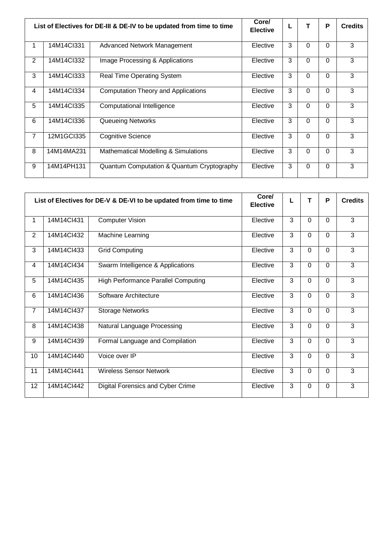| List of Electives for DE-III & DE-IV to be updated from time to time |            | Core/<br><b>Elective</b>                   | L        |   | P            | <b>Credits</b> |   |
|----------------------------------------------------------------------|------------|--------------------------------------------|----------|---|--------------|----------------|---|
|                                                                      | 14M14Cl331 | Advanced Network Management                | Elective | 3 | $\Omega$     | $\Omega$       | 3 |
| 2                                                                    | 14M14Cl332 | Image Processing & Applications            | Elective | 3 | $\Omega$     | $\Omega$       | 3 |
| 3                                                                    | 14M14Cl333 | <b>Real Time Operating System</b>          | Elective | 3 | $\mathbf 0$  | $\Omega$       | 3 |
| $\overline{4}$                                                       | 14M14Cl334 | <b>Computation Theory and Applications</b> | Elective | 3 | $\mathbf 0$  | $\mathbf 0$    | 3 |
| 5                                                                    | 14M14Cl335 | Computational Intelligence                 | Elective | 3 | $\mathbf 0$  | $\mathbf 0$    | 3 |
| 6                                                                    | 14M14Cl336 | <b>Queueing Networks</b>                   | Elective | 3 | $\mathbf{0}$ | $\mathbf{0}$   | 3 |
| 7                                                                    | 12M1GCI335 | <b>Cognitive Science</b>                   | Elective | 3 | $\mathbf 0$  | $\Omega$       | 3 |
| 8                                                                    | 14M14MA231 | Mathematical Modelling & Simulations       | Elective | 3 | $\mathbf 0$  | $\Omega$       | 3 |
| 9                                                                    | 14M14PH131 | Quantum Computation & Quantum Cryptography | Elective | 3 | $\mathbf 0$  | $\mathbf{0}$   | 3 |

|                |            | List of Electives for DE-V & DE-VI to be updated from time to time | Core/<br><b>Elective</b> |   |          | P            | <b>Credits</b> |
|----------------|------------|--------------------------------------------------------------------|--------------------------|---|----------|--------------|----------------|
| 1              | 14M14Cl431 | <b>Computer Vision</b>                                             | Elective                 | 3 | $\Omega$ | $\Omega$     | 3              |
| $\overline{2}$ | 14M14Cl432 | Machine Learning                                                   | Elective                 | 3 | $\Omega$ | $\Omega$     | 3              |
| 3              | 14M14Cl433 | <b>Grid Computing</b>                                              | Elective                 | 3 | $\Omega$ | $\mathbf 0$  | 3              |
| 4              | 14M14Cl434 | Swarm Intelligence & Applications                                  | Elective                 | 3 | $\Omega$ | $\mathbf 0$  | 3              |
| 5              | 14M14Cl435 | <b>High Performance Parallel Computing</b>                         | Elective                 | 3 | $\Omega$ | $\Omega$     | 3              |
| 6              | 14M14Cl436 | Software Architecture                                              | Elective                 | 3 | $\Omega$ | $\mathbf 0$  | 3              |
| $\overline{7}$ | 14M14Cl437 | <b>Storage Networks</b>                                            | Elective                 | 3 | $\Omega$ | $\Omega$     | 3              |
| 8              | 14M14Cl438 | Natural Language Processing                                        | Elective                 | 3 | $\Omega$ | $\Omega$     | 3              |
| 9              | 14M14Cl439 | Formal Language and Compilation                                    | Elective                 | 3 | $\Omega$ | $\Omega$     | 3              |
| 10             | 14M14Cl440 | Voice over IP                                                      | Elective                 | 3 | $\Omega$ | $\mathbf{0}$ | 3              |
| 11             | 14M14Cl441 | <b>Wireless Sensor Network</b>                                     | Elective                 | 3 | $\Omega$ | $\mathbf 0$  | 3              |
| 12             | 14M14Cl442 | Digital Forensics and Cyber Crime                                  | Elective                 | 3 | $\Omega$ | $\Omega$     | 3              |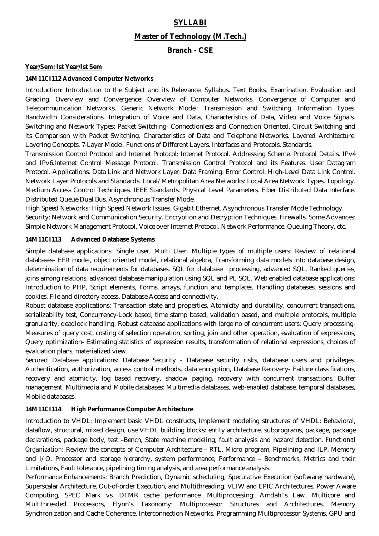#### **SYLLABI**

#### **Master of Technology (M.Tech.)**

#### **Branch - CSE**

#### **Year/Sem: Ist Year/Ist Sem**

#### **14M11CI112 Advanced Computer Networks**

Introduction: Introduction to the Subject and its Relevance. Syllabus. Text Books. Examination. Evaluation and Grading. Overview and Convergence: Overview of Computer Networks. Convergence of Computer and Telecommunication Networks. Generic Network Model: Transmission and Switching. Information Types. Bandwidth Considerations. Integration of Voice and Data, Characteristics of Data, Video and Voice Signals. Switching and Network Types: Packet Switching- Connectionless and Connection Oriented. Circuit Switching and its Comparison with Packet Switching. Characteristics of Data and Telephone Networks. Layered Architecture: Layering Concepts. 7-Layer Model. Functions of Different Layers. Interfaces and Protocols. Standards.

Transmission Control Protocol and Internet Protocol: Internet Protocol. Addressing Scheme. Protocol Details. IPv4 and IPv6.Internet Control Message Protocol. Transmission Control Protocol and its Features. User Datagram Protocol. Applications. Data Link and Network Layer: Data Framing. Error Control. High-Level Data Link Control. Network Layer Protocols and Standards. Local/Metropolitan Area Networks: Local Area Network Types. Topology. Medium Access Control Techniques. IEEE Standards. Physical Level Parameters. Fiber Distributed Data Interface. Distributed Queue Dual Bus. Asynchronous Transfer Mode.

High Speed Networks: High Speed Network Issues. Gigabit Ethernet. Asynchronous Transfer Mode Technology. Security: Network and Communication Security. Encryption and Decryption Techniques. Firewalls. Some Advances: Simple Network Management Protocol. Voice over Internet Protocol. Network Performance. Queuing Theory, etc.

#### **14M11CI113 Advanced Database Systems**

Simple database applications: Single user, Multi User. Multiple types of multiple users: Review of relational databases- EER model, object oriented model, relational algebra, Transforming data models into database design, determination of data requirements for databases. SQL for database processing, advanced SQL, Ranked queries, joins among relations, advanced database manipulation using SQL and PL SQL. Web enabled database applications: Introduction to PHP, Script elements, Forms, arrays, function and templates, Handling databases, sessions and cookies, File and directory access, Database Access and connectivity.

Robust database applications: Transaction state and properties, Atomicity and durability, concurrent transactions, serializability test, Concurrency-Lock based, time stamp based, validation based, and multiple protocols, multiple granularity, deadlock handling. Robust database applications with large no of concurrent users: Query processing-Measures of query cost, costing of selection operation, sorting, join and other operation, evaluation of expressions, Query optimization- Estimating statistics of expression results, transformation of relational expressions, choices of evaluation plans, materialized view.

Secured Database applications: Database Security - Database security risks, database users and privileges. Authentication, authorization, access control methods, data encryption, Database Recovery- Failure classifications, recovery and atomicity, log based recovery, shadow paging, recovery with concurrent transactions, Buffer management. Multimedia and Mobile databases: Multimedia databases, web-enabled database, temporal databases, Mobile databases.

#### **14M11CI114 High Performance Computer Architecture**

Introduction to VHDL: Implement basic VHDL constructs, Implement modeling structures of VHDL: Behavioral, dataflow, structural, mixed design, use VHDL building blocks: entity architecture, subprograms, package, package declarations, package body, test –Bench, State machine modeling, fault analysis and hazard detection. Functional Organization: Review the concepts of Computer Architecture – RTL, Micro program, Pipelining and ILP, Memory and I/O. Processor and storage hierarchy, system performance, Performance – Benchmarks, Metrics and their Limitations, Fault tolerance, pipelining timing analysis, and area performance analysis.

Performance Enhancements: Branch Prediction, Dynamic scheduling, Speculative Execution (software/hardware), Superscalar Architecture, Out-of-order Execution, and Multithreading, VLIW and EPIC Architectures, Power Aware Computing, SPEC Mark vs. DTMR cache performance. Multiprocessing: Amdahl's Law, Multicore and Multithreaded Processors, Flynn's Taxonomy: Multiprocessor Structures and Architectures, Memory Synchronization and Cache Coherence, Interconnection Networks, Programming Multiprocessor Systems, GPU and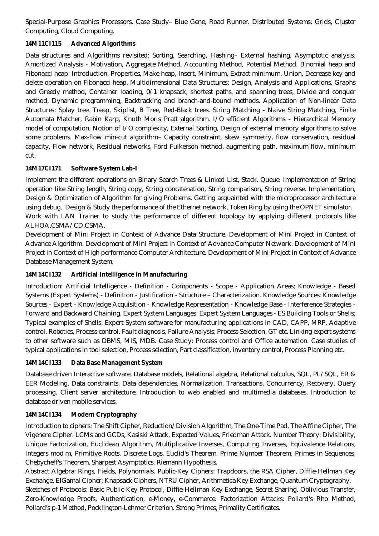Special-Purpose Graphics Processors. Case Study– Blue Gene, Road Runner. Distributed Systems: Grids, Cluster Computing, Cloud Computing.

#### **14M11CI115 Advanced Algorithms**

Data structures and Algorithms revisited: Sorting, Searching, Hashing– External hashing, Asymptotic analysis. Amortized Analysis - Motivation, Aggregate Method, Accounting Method, Potential Method. Binomial heap and Fibonacci heap: Introduction, Properties, Make heap, Insert, Minimum, Extract minimum, Union, Decrease key and delete operation on Fibonacci heap. Multidimensional Data Structures: Design, Analysis and Applications, Graphs and Greedy method, Container loading, 0/1 knapsack, shortest paths, and spanning trees, Divide and conquer method, Dynamic programming, Backtracking and branch-and-bound methods. Application of Non-linear Data Structures: Splay tree, Treap, Skiplist, B Tree, Red-Black trees. String Matching - Naive String Matching, Finite Automata Matcher, Rabin Karp, Knuth Moris Pratt algorithm. I/O efficient Algorithms - Hierarchical Memory model of computation, Notion of I/O complexity, External Sorting, Design of external memory algorithms to solve some problems. Max-flow min-cut algorithm– Capacity constraint, skew symmetry, flow conservation, residual capacity, Flow network, Residual networks, Ford Fulkerson method, augmenting path, maximum flow, minimum cut.

#### **14M17CI171 Software System Lab-I**

Implement the different operations on Binary Search Trees & Linked List, Stack, Queue. Implementation of String operation like String length, String copy, String concatenation, String comparison, String reverse. Implementation, Design & Optimization of Algorithm for giving Problems. Getting acquainted with the microprocessor architecture using debug. Design & Study the performance of the Ethernet network, Token Ring by using the OPNET simulator. Work with LAN Trainer to study the performance of different topology by applying different protocols like ALHOA,CSMA/CD,CSMA.

Development of Mini Project in Context of Advance Data Structure. Development of Mini Project in Context of Advance Algorithm. Development of Mini Project in Context of Advance Computer Network. Development of Mini Project in Context of High performance Computer Architecture. Development of Mini Project in Context of Advance Database Management System.

#### **14M14CI132 Artificial Intelligence in Manufacturing**

Introduction: Artificial Intelligence - Definition - Components - Scope - Application Areas; Knowledge - Based Systems (Expert Systems) - Definition - Justification - Structure – Characterization. Knowledge Sources: Knowledge Sources - Expert - Knowledge Acquisition - Knowledge Representation - Knowledge Base - Interference Strategies - Forward and Backward Chaining. Expert System Languages: Expert System Languages - ES Building Tools or Shells; Typical examples of Shells. Expert System software for manufacturing applications in CAD, CAPP, MRP, Adaptive control. Robotics, Process control, Fault diagnosis, Failure Analysis; Process Selection, GT etc. Linking expert systems to other software such as DBMS, MIS, MDB. Case Study: Process control and Office automation. Case studies of typical applications in tool selection, Process selection, Part classification, inventory control, Process Planning etc.

#### **14M14CI133 Data Base Management System**

Database driven Interactive software, Database models, Relational algebra, Relational calculus, SQL, PL/SQL, ER & EER Modeling, Data constraints, Data dependencies, Normalization, Transactions, Concurrency, Recovery, Query processing. Client server architecture, Introduction to web enabled and multimedia databases, Introduction to database driven mobile services.

#### **14M14CI134 Modern Cryptography**

Introduction to ciphers: The Shift Cipher, Reduction/Division Algorithm, The One-Time Pad, The Affine Cipher, The Vigenere Cipher. LCMs and GCDs, Kasiski Attack, Expected Values, Friedman Attack. Number Theory: Divisibility, Unique Factorization, Euclidean Algorithm, Multiplicative Inverses, Computing Inverses, Equivalence Relations, Integers mod m, Primitive Roots, Discrete Logs, Euclid's Theorem, Prime Number Theorem, Primes in Sequences, Chebycheff's Theorem, Sharpest Asymptotics, Riemann Hypothesis.

Abstract Algebra: Rings, Fields, Polynomials. Public-Key Ciphers: Trapdoors, the RSA Cipher, Diffie-Hellman Key Exchange, ElGamal Cipher, Knapsack Ciphers, NTRU Cipher, Arithmetica Key Exchange, Quantum Cryptography. Sketches of Protocols: Basic Public-Key Protocol, Diffie-Hellman Key Exchange, Secret Sharing. Oblivious Transfer, Zero-Knowledge Proofs, Authentication, e-Money, e-Commerce. Factorization Attacks: Pollard's Rho Method, Pollard's p-1 Method, Pocklington-Lehmer Criterion. Strong Primes, Primality Certificates.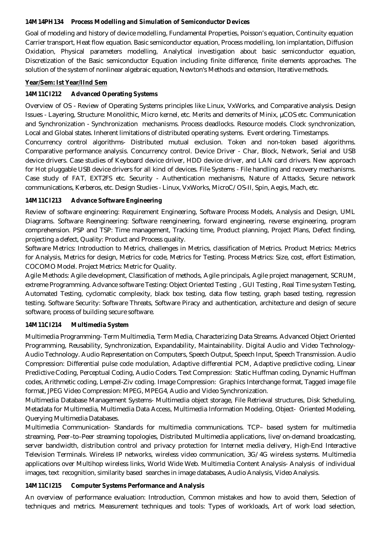#### **14M14PH134 Process Modelling and Simulation of Semiconductor Devices**

Goal of modeling and history of device modelling, Fundamental Properties, Poisson's equation, Continuity equation Carrier transport, Heat flow equation. Basic semiconductor equation, Process modelling, Ion implantation, Diffusion Oxidation, Physical parameters modelling, Analytical investigation about basic semiconductor equation, Discretization of the Basic semiconductor Equation including finite difference, finite elements approaches. The solution of the system of nonlinear algebraic equation, Newton's Methods and extension, Iterative methods.

#### **Year/Sem: Ist Year/IInd Sem**

#### **14M11CI212 Advanced Operating Systems**

Overview of OS - Review of Operating Systems principles like Linux, VxWorks, and Comparative analysis. Design Issues - Layering, Structure: Monolithic, Micro kernel, etc. Merits and demerits of Minix, µCOS etc. Communication and Synchronization - Synchronization mechanisms. Process deadlocks. Resource models. Clock synchronization, Local and Global states. Inherent limitations of distributed operating systems. Event ordering. Timestamps.

Concurrency control algorithms- Distributed mutual exclusion. Token and non-token based algorithms. Comparative performance analysis. Concurrency control. Device Driver - Char, Block, Network, Serial and USB device drivers. Case studies of Keyboard device driver, HDD device driver, and LAN card drivers. New approach for Hot pluggable USB device drivers for all kind of devices. File Systems - File handling and recovery mechanisms. Case study of FAT, EXT2FS etc. Security - Authentication mechanisms, Nature of Attacks, Secure network communications, Kerberos, etc. Design Studies - Linux, VxWorks, MicroC/OS-II, Spin, Aegis, Mach, etc.

#### **14M11CI213 Advance Software Engineering**

Review of software engineering: Requirement Engineering, Software Process Models, Analysis and Design, UML Diagrams. Software Reengineering: Software reengineering, forward engineering, reverse engineering, program comprehension. PSP and TSP: Time management, Tracking time, Product planning, Project Plans, Defect finding, projecting a defect, Quality: Product and Process quality.

Software Metrics: Introduction to Metrics, challenges in Metrics, classification of Metrics. Product Metrics: Metrics for Analysis, Metrics for design, Metrics for code, Metrics for Testing. Process Metrics: Size, cost, effort Estimation, COCOMO Model. Project Metrics: Metric for Quality.

Agile Methods: Agile development, Classification of methods, Agile principals, Agile project management, SCRUM, extreme Programming. Advance software Testing: Object Oriented Testing , GUI Testing , Real Time system Testing, Automated Testing, cyclomatic complexity, black box testing, data flow testing, graph based testing, regression testing. Software Security: Software Threats, Software Piracy and authentication, architecture and design of secure software, process of building secure software.

#### **14M11CI214 Multimedia System**

Multimedia Programming- Term Multimedia, Term Media, Characterizing Data Streams. Advanced Object Oriented Programming, Reusability, Synchronization, Expandability, Maintainability. Digital Audio and Video Technology-Audio Technology. Audio Representation on Computers, Speech Output, Speech Input, Speech Transmission. Audio Compression: Differential pulse code modulation, Adaptive differential PCM, Adaptive predictive coding, Linear Predictive Coding, Perceptual Coding, Audio Coders. Text Compression: Static Huffman coding, Dynamic Huffman codes, Arithmetic coding, Lempel-Ziv coding. Image Compression: Graphics Interchange format, Tagged image file format, JPEG Video Compression: MPEG, MPEG4, Audio and Video Synchronization.

Multimedia Database Management Systems- Multimedia object storage, File Retrieval structures, Disk Scheduling, Metadata for Multimedia, Multimedia Data Access, Multimedia Information Modeling, Object- Oriented Modeling, Querying Multimedia Databases.

Multimedia Communication- Standards for multimedia communications. TCP– based system for multimedia streaming, Peer–to–Peer streaming topologies, Distributed Multimedia applications, live/on-demand broadcasting, server bandwidth, distribution control and privacy protection for Internet media delivery, High-End Interactive Television Terminals. Wireless IP networks, wireless video communication, 3G/4G wireless systems. Multimedia applications over Multihop wireless links, World Wide Web. Multimedia Content Analysis- Analysis of individual images, text recognition, similarity based searches in image databases, Audio Analysis, Video Analysis.

#### **14M11CI215 Computer Systems Performance and Analysis**

An overview of performance evaluation: Introduction, Common mistakes and how to avoid them, Selection of techniques and metrics. Measurement techniques and tools: Types of workloads, Art of work load selection,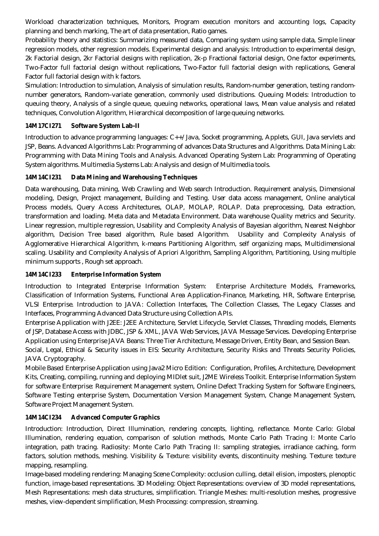Workload characterization techniques, Monitors, Program execution monitors and accounting logs, Capacity planning and bench marking, The art of data presentation, Ratio games.

Probability theory and statistics: Summarizing measured data, Comparing system using sample data, Simple linear regression models, other regression models. Experimental design and analysis: Introduction to experimental design, 2k Factorial design, 2kr Factorial designs with replication, 2k-p Fractional factorial design, One factor experiments, Two-Factor full factorial design without replications, Two-Factor full factorial design with replications, General Factor full factorial design with k factors.

Simulation: Introduction to simulation, Analysis of simulation results, Random-number generation, testing randomnumber generators, Random–variate generation, commonly used distributions. Queuing Models: Introduction to queuing theory, Analysis of a single queue, queuing networks, operational laws, Mean value analysis and related techniques, Convolution Algorithm, Hierarchical decomposition of large queuing networks.

#### **14M17CI271 Software System Lab-II**

Introduction to advance programming languages: C++/Java, Socket programming, Applets, GUI, Java servlets and JSP, Beans. Advanced Algorithms Lab: Programming of advances Data Structures and Algorithms. Data Mining Lab: Programming with Data Mining Tools and Analysis. Advanced Operating System Lab: Programming of Operating System algorithms. Multimedia Systems Lab: Analysis and design of Multimedia tools.

#### **14M14CI231 Data Mining and Warehousing Techniques**

Data warehousing, Data mining, Web Crawling and Web search Introduction. Requirement analysis, Dimensional modeling, Design, Project management, Building and Testing. User data access management, Online analytical Process models, Query Access Architectures, OLAP, MOLAP, ROLAP. Data preprocessing, Data extraction, transformation and loading. Meta data and Metadata Environment. Data warehouse Quality metrics and Security. Linear regression, multiple regression, Usability and Complexity Analysis of Bayesian algorithm, Nearest Neighbor algorithm, Decision Tree based algorithm, Rule based Algorithm. Usability and Complexity Analysis of Agglomerative Hierarchical Algorithm, k-means Partitioning Algorithm, self organizing maps, Multidimensional scaling. Usability and Complexity Analysis of Apriori Algorithm, Sampling Algorithm, Partitioning, Using multiple minimum supports , Rough set approach.

#### **14M14CI233 Enterprise Information System**

Introduction to Integrated Enterprise Information System: Enterprise Architecture Models, Frameworks, Classification of Information Systems, Functional Area Application-Finance, Marketing, HR, Software Enterprise, VLSI Enterprise. Introduction to JAVA: Collection Interfaces, The Collection Classes, The Legacy Classes and Interfaces, Programming Advanced Data Structure using Collection APIs.

Enterprise Application with J2EE: J2EE Architecture, Servlet Lifecycle, Servlet Classes, Threading models, Elements of JSP, Database Access with JDBC, JSP & XML, JAVA Web Services, JAVA Message Services. Developing Enterprise Application using Enterprise JAVA Beans: Three Tier Architecture, Message Driven, Entity Bean, and Session Bean. Social, Legal, Ethical & Security issues in EIS: Security Architecture, Security Risks and Threats Security Policies, JAVA Cryptography.

Mobile Based Enterprise Application using Java2 Micro Edition: Configuration, Profiles, Architecture, Development Kits, Creating, compiling, running and deploying MIDlet suit, J2ME Wireless Toolkit. Enterprise Information System for software Enterprise: Requirement Management system, Online Defect Tracking System for Software Engineers, Software Testing enterprise System, Documentation Version Management System, Change Management System, Software Project Management System.

#### **14M14CI234 Advanced Computer Graphics**

Introduction: Introduction, Direct Illumination, rendering concepts, lighting, reflectance. Monte Carlo: Global Illumination, rendering equation, comparison of solution methods, Monte Carlo Path Tracing I: Monte Carlo integration, path tracing. Radiosity: Monte Carlo Path Tracing II: sampling strategies, irradiance caching, form factors, solution methods, meshing. Visibility & Texture: visibility events, discontinuity meshing. Texture: texture mapping, resampling.

Image-based modeling rendering: Managing Scene Complexity: occlusion culling, detail elision, imposters, plenoptic function, image-based representations. 3D Modeling: Object Representations: overview of 3D model representations, Mesh Representations: mesh data structures, simplification. Triangle Meshes: multi-resolution meshes, progressive meshes, view-dependent simplification, Mesh Processing: compression, streaming.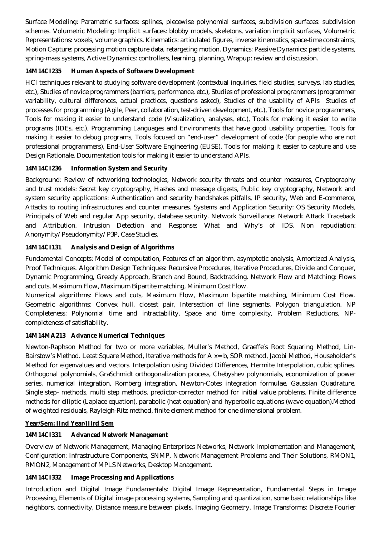Surface Modeling: Parametric surfaces: splines, piecewise polynomial surfaces, subdivision surfaces: subdivision schemes. Volumetric Modeling: Implicit surfaces: blobby models, skeletons, variation implicit surfaces, Volumetric Representations: voxels, volume graphics. Kinematics: articulated figures, inverse kinematics, space-time constraints, Motion Capture: processing motion capture data, retargeting motion. Dynamics: Passive Dynamics: particle systems, spring-mass systems, Active Dynamics: controllers, learning, planning, Wrapup: review and discussion.

#### **14M14CI235 Human Aspects of Software Development**

HCI techniques relevant to studying software development (contextual inquiries, field studies, surveys, lab studies, etc.), Studies of novice programmers (barriers, performance, etc.), Studies of professional programmers (programmer variability, cultural differences, actual practices, questions asked), Studies of the usability of APIs Studies of processes for programming (Agile, Peer, collaboration, test-driven development, etc.), Tools for novice programmers, Tools for making it easier to understand code (Visualization, analyses, etc.), Tools for making it easier to write programs (IDEs, etc.), Programming Languages and Environments that have good usability properties, Tools for making it easier to debug programs, Tools focused on "end-user" development of code (for people who are not professional programmers), End-User Software Engineering (EUSE), Tools for making it easier to capture and use Design Rationale, Documentation tools for making it easier to understand APIs.

#### **14M14CI236 Information System and Security**

Background: Review of networking technologies, Network security threats and counter measures, Cryptography and trust models: Secret key cryptography, Hashes and message digests, Public key cryptography, Network and system security applications: Authentication and security handshakes pitfalls, IP security, Web and E-commerce, Attacks to routing infrastructures and counter measures. Systems and Application Security: OS Security Models, Principals of Web and regular App security, database security. Network Surveillance: Network Attack Traceback and Attribution. Intrusion Detection and Response: What and Why's of IDS. Non repudiation: Anonymity/Pseudonymity/P3P, Case Studies.

#### **14M14CI131 Analysis and Design of Algorithms**

Fundamental Concepts: Model of computation, Features of an algorithm, asymptotic analysis, Amortized Analysis, Proof Techniques. Algorithm Design Techniques: Recursive Procedures, Iterative Procedures, Divide and Conquer, Dynamic Programming, Greedy Approach, Branch and Bound, Backtracking. Network Flow and Matching: Flows and cuts, Maximum Flow, Maximum Bipartite matching, Minimum Cost Flow.

Numerical algorithms: Flows and cuts, Maximum Flow, Maximum bipartite matching, Minimum Cost Flow. Geometric algorithms: Convex hull, closest pair, Intersection of line segments, Polygon triangulation. NP Completeness: Polynomial time and intractability, Space and time complexity, Problem Reductions, NPcompleteness of satisfiability.

#### **14M14MA213 Advance Numerical Techniques**

Newton-Raphson Method for two or more variables, Muller's Method, Graeffe's Root Squaring Method, Lin-Bairstow's Method. Least Square Method, Iterative methods for A x= b, SOR method, Jacobi Method, Householder's Method for eigenvalues and vectors. Interpolation using Divided Differences, Hermite Interpolation, cubic splines. Orthogonal polynomials, GraSchmidt orthogonalization process, Chebyshev polynomials, economization of power series, numerical integration, Romberg integration, Newton-Cotes integration formulae, Gaussian Quadrature. Single step- methods, multi step methods, predictor-corrector method for initial value problems. Finite difference methods for elliptic (Laplace equation), parabolic (heat equation) and hyperbolic equations (wave equation).Method of weighted residuals, Rayleigh-Ritz method, finite element method for one dimensional problem.

#### **Year/Sem: IInd Year/IIIrd Sem**

#### **14M14CI331 Advanced Network Management**

Overview of Network Management, Managing Enterprises Networks, Network Implementation and Management, Configuration: Infrastructure Components, SNMP, Network Management Problems and Their Solutions, RMON1, RMON2, Management of MPLS Networks, Desktop Management.

#### **14M14CI332 Image Processing and Applications**

Introduction and Digital Image Fundamentals: Digital Image Representation, Fundamental Steps in Image Processing, Elements of Digital image processing systems, Sampling and quantization, some basic relationships like neighbors, connectivity, Distance measure between pixels, Imaging Geometry. Image Transforms: Discrete Fourier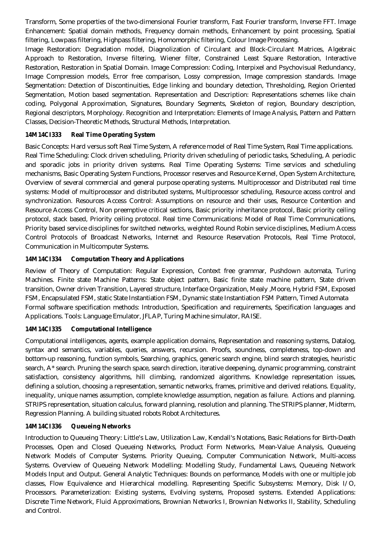Transform, Some properties of the two-dimensional Fourier transform, Fast Fourier transform, Inverse FFT. Image Enhancement: Spatial domain methods, Frequency domain methods, Enhancement by point processing, Spatial filtering, Lowpass filtering, Highpass filtering, Homomorphic filtering, Colour Image Processing.

Image Restoration: Degradation model, Diagnolization of Circulant and Block-Circulant Matrices, Algebraic Approach to Restoration, Inverse filtering, Wiener filter, Constrained Least Square Restoration, Interactive Restoration, Restoration in Spatial Domain. Image Compression: Coding, Interpixel and Psychovisual Redundancy, Image Compression models, Error free comparison, Lossy compression, Image compression standards. Image Segmentation: Detection of Discontinuities, Edge linking and boundary detection, Thresholding, Region Oriented Segmentation, Motion based segmentation. Representation and Description: Representations schemes like chain coding, Polygonal Approximation, Signatures, Boundary Segments, Skeleton of region, Boundary description, Regional descriptors, Morphology. Recognition and Interpretation: Elements of Image Analysis, Pattern and Pattern Classes, Decision-Theoretic Methods, Structural Methods, Interpretation.

#### **14M14CI333 Real Time Operating System**

Basic Concepts: Hard versus soft Real Time System, A reference model of Real Time System, Real Time applications. Real Time Scheduling: Clock driven scheduling, Priority driven scheduling of periodic tasks, Scheduling, A periodic and sporadic jobs in priority driven systems. Real Time Operating Systems: Time services and scheduling mechanisms, Basic Operating System Functions, Processor reserves and Resource Kernel, Open System Architecture, Overview of several commercial and general purpose operating systems. Multiprocessor and Distributed real time systems: Model of multiprocessor and distributed systems, Multiprocessor scheduling, Resource access control and synchronization. Resources Access Control: Assumptions on resource and their uses, Resource Contention and Resource Access Control, Non preemptive critical sections, Basic priority inheritance protocol, Basic priority ceiling protocol, stack based, Priority ceiling protocol. Real time Communications: Model of Real Time Communications, Priority based service disciplines for switched networks, weighted Round Robin service disciplines, Medium Access Control Protocols of Broadcast Networks, Internet and Resource Reservation Protocols, Real Time Protocol, Communication in Multicomputer Systems.

#### **14M14CI334 Computation Theory and Applications**

Review of Theory of Computation: Regular Expression, Context free grammar, Pushdown automata, Turing Machines. Finite state Machine Patterns: State object pattern, Basic finite state machine pattern, State driven transition, Owner driven Transition, Layered structure, Interface Organization, Mealy ,Moore, Hybrid FSM, Exposed FSM, Encapsulated FSM, static State Instantiation FSM, Dynamic state Instantiation FSM Pattern, Timed Automata Formal software specification methods: Introduction, Specification and requirements, Specification languages and Applications. Tools: Language Emulator, JFLAP, Turing Machine simulator, RAISE.

#### **14M14CI335 Computational Intelligence**

Computational intelligences, agents, example application domains, Representation and reasoning systems, Datalog, syntax and semantics, variables, queries, answers, recursion. Proofs, soundness, completeness, top-down and bottom-up reasoning, function symbols, Searching, graphics, generic search engine, blind search strategies, heuristic search, A\* search. Pruning the search space, search direction, iterative deepening, dynamic programming, constraint satisfaction, consistency algorithms, hill climbing, randomized algorithms. Knowledge representation issues, defining a solution, choosing a representation, semantic networks, frames, primitive and derived relations. Equality, inequality, unique names assumption, complete knowledge assumption, negation as failure. Actions and planning. STRIPS representation, situation calculus, forward planning, resolution and planning. The STRIPS planner, Midterm, Regression Planning. A building situated robots Robot Architectures.

#### **14M14CI336 Queueing Networks**

Introduction to Queueing Theory: Little's Law, Utilization Law, Kendall's Notations, Basic Relations for Birth-Death Processes, Open and Closed Queueing Networks, Product Form Networks, Mean-Value Analysis, Queueing Network Models of Computer Systems. Priority Queuing, Computer Communication Network, Multi-access Systems. Overview of Queueing Network Modelling: Modelling Study, Fundamental Laws, Queueing Network Models Input and Output. General Analytic Techniques: Bounds on performance, Models with one or multiple job classes, Flow Equivalence and Hierarchical modelling. Representing Specific Subsystems: Memory, Disk I/O, Processors. Parameterization: Existing systems, Evolving systems, Proposed systems. Extended Applications: Discrete Time Network, Fluid Approximations, Brownian Networks I, Brownian Networks II, Stability, Scheduling and Control.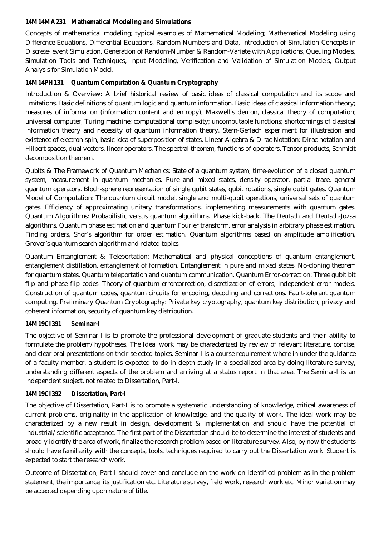#### **14M14MA231 Mathematical Modeling and Simulations**

Concepts of mathematical modeling; typical examples of Mathematical Modeling; Mathematical Modeling using Difference Equations, Differential Equations, Random Numbers and Data, Introduction of Simulation Concepts in Discrete- event Simulation, Generation of Random-Number & Random-Variate with Applications, Queuing Models, Simulation Tools and Techniques, Input Modeling, Verification and Validation of Simulation Models, Output Analysis for Simulation Model.

#### **14M14PH131 Quantum Computation & Quantum Cryptography**

Introduction & Overview: A brief historical review of basic ideas of classical computation and its scope and limitations. Basic definitions of quantum logic and quantum information. Basic ideas of classical information theory; measures of information (information content and entropy); Maxwell's demon, classical theory of computation; universal computer; Turing machine; computational complexity; uncomputable functions; shortcomings of classical information theory and necessity of quantum information theory. Stern-Gerlach experiment for illustration and existence of electron spin, basic idea of superposition of states. Linear Algebra & Dirac Notation: Dirac notation and Hilbert spaces, dual vectors, linear operators. The spectral theorem, functions of operators. Tensor products, Schmidt decomposition theorem.

Qubits & The Framework of Quantum Mechanics: State of a quantum system, time-evolution of a closed quantum system, measurement in quantum mechanics. Pure and mixed states, density operator, partial trace, general quantum operators. Bloch-sphere representation of single qubit states, qubit rotations, single qubit gates. Quantum Model of Computation: The quantum circuit model, single and multi-qubit operations, universal sets of quantum gates. Efficiency of approximating unitary transformations, implementing measurements with quantum gates. Quantum Algorithms: Probabilistic versus quantum algorithms. Phase kick-back. The Deutsch and Deutsch-Jozsa algorithms. Quantum phase estimation and quantum Fourier transform, error analysis in arbitrary phase estimation. Finding orders, Shor's algorithm for order estimation. Quantum algorithms based on amplitude amplification, Grover's quantum search algorithm and related topics.

Quantum Entanglement & Teleportation: Mathematical and physical conceptions of quantum entanglement, entanglement distillation, entanglement of formation. Entanglement in pure and mixed states. No-cloning theorem for quantum states. Quantum teleportation and quantum communication. Quantum Error-correction: Three qubit bit flip and phase flip codes. Theory of quantum errorcorrection, discretization of errors, independent error models. Construction of quantum codes, quantum circuits for encoding, decoding and corrections. Fault-tolerant quantum computing. Preliminary Quantum Cryptography: Private key cryptography, quantum key distribution, privacy and coherent information, security of quantum key distribution.

#### **14M19CI391 Seminar-I**

The objective of Seminar-I is to promote the professional development of graduate students and their ability to formulate the problem/hypotheses. The Ideal work may be characterized by review of relevant literature, concise, and clear oral presentations on their selected topics. Seminar-I is a course requirement where in under the guidance of a faculty member, a student is expected to do in depth study in a specialized area by doing literature survey, understanding different aspects of the problem and arriving at a status report in that area. The Seminar-I is an independent subject, not related to Dissertation, Part-I.

#### **14M19CI392 Dissertation, Part-I**

The objective of Dissertation, Part-I is to promote a systematic understanding of knowledge, critical awareness of current problems, originality in the application of knowledge, and the quality of work. The ideal work may be characterized by a new result in design, development & implementation and should have the potential of industrial/scientific acceptance. The first part of the Dissertation should be to determine the interest of students and broadly identify the area of work, finalize the research problem based on literature survey. Also, by now the students should have familiarity with the concepts, tools, techniques required to carry out the Dissertation work. Student is expected to start the research work.

Outcome of Dissertation, Part-I should cover and conclude on the work on identified problem as in the problem statement, the importance, its justification etc. Literature survey, field work, research work etc. Minor variation may be accepted depending upon nature of title.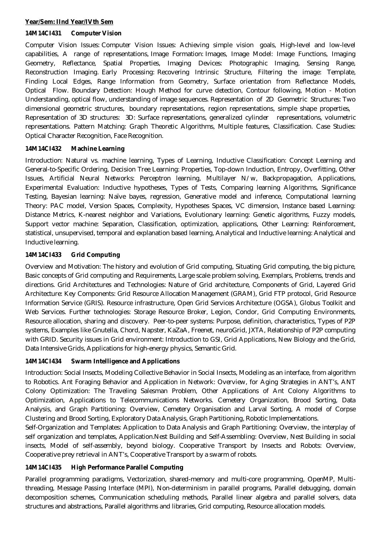#### **Year/Sem: IInd Year/IVth Sem**

#### **14M14CI431 Computer Vision**

Computer Vision Issues: Computer Vision Issues: Achieving simple vision goals, High-level and low-level capabilities, A range of representations, Image Formation: Images, Image Model: Image Functions, Imaging Geometry, Reflectance, Spatial Properties, Imaging Devices: Photographic Imaging, Sensing Range, Reconstruction Imaging. Early Processing: Recovering Intrinsic Structure, Filtering the image: Template, Finding Local Edges, Range Information from Geometry, Surface orientation from Reflectance Models, Optical Flow. Boundary Detection: Hough Method for curve detection, Contour following, Motion - Motion Understanding, optical flow, understanding of image sequences. Representation of 2D Geometric Structures: Two dimensional geometric structures, boundary representations, region representations, simple shape properties, Representation of 3D structures: 3D: Surface representations, generalized cylinder representations, volumetric representations. Pattern Matching: Graph Theoretic Algorithms, Multiple features, Classification. Case Studies: Optical Character Recognition, Face Recognition.

#### **14M14CI432 Machine Learning**

Introduction: Natural vs. machine learning, Types of Learning, Inductive Classification: Concept Learning and General-to-Specific Ordering, Decision Tree Learning: Properties, Top-down Induction, Entropy, Overfitting, Other Issues, Artificial Neural Networks: Perceptron learning, Multilayer N/w, Backpropagation, Applications, Experimental Evaluation: Inductive hypotheses, Types of Tests, Comparing learning Algorithms, Significance Testing, Bayesian learning: Naïve bayes, regression, Generative model and inference, Computational learning Theory: PAC model, Version Spaces, Complexity, Hypotheses Spaces, VC dimension, Instance based Learning: Distance Metrics, K-nearest neighbor and Variations, Evolutionary learning: Genetic algorithms, Fuzzy models, Support vector machine: Separation, Classification, optimization, applications, Other Learning: Reinforcement, statistical, unsupervised, temporal and explanation based learning, Analytical and Inductive learning: Analytical and Inductive learning.

#### **14M14CI433 Grid Computing**

Overview and Motivation: The history and evolution of Grid computing, Situating Grid computing, the big picture, Basic concepts of Grid computing and Requirements, Large scale problem solving, Exemplars, Problems, trends and directions. Grid Architectures and Technologies: Nature of Grid architecture, Components of Grid, Layered Grid Architecture: Key Components: Grid Resource Allocation Management (GRAM), Grid FTP protocol, Grid Resource Information Service (GRIS). Resource infrastructure, Open Grid Services Architecture (OGSA), Globus Toolkit and Web Services. Further technologies: Storage Resource Broker, Legion, Condor, Grid Computing Environments, Resource allocation, sharing and discovery. Peer-to-peer systems: Purpose, definition, characteristics, Types of P2P systems, Examples like Gnutella, Chord, Napster, KaZaA, Freenet, neuroGrid, JXTA, Relationship of P2P computing with GRID. Security issues in Grid environment: Introduction to GSI, Grid Applications, New Biology and the Grid, Data Intensive Grids, Applications for high-energy physics, Semantic Grid.

#### **14M14CI434 Swarm Intelligence and Applications**

Introduction: Social Insects, Modeling Collective Behavior in Social Insects, Modeling as an interface, from algorithm to Robotics. Ant Foraging Behavior and Application in Network: Overview, for Aging Strategies in ANT's, ANT Colony Optimization: The Traveling Salesman Problem, Other Applications of Ant Colony Algorithms to Optimization, Applications to Telecommunications Networks. Cemetery Organization, Brood Sorting, Data Analysis, and Graph Partitioning: Overview, Cemetery Organisation and Larval Sorting, A model of Corpse Clustering and Brood Sorting, Exploratory Data Analysis, Graph Partitioning, Robotic Implementations.

Self-Organization and Templates: Application to Data Analysis and Graph Partitioning: Overview, the interplay of self organization and templates, Application.Nest Building and Self-Assembling: Overview, Nest Building in social insects, Model of self-assembly, beyond biology. Cooperative Transport by Insects and Robots: Overview, Cooperative prey retrieval in ANT's, Cooperative Transport by a swarm of robots.

#### **14M14CI435 High Performance Parallel Computing**

Parallel programming paradigms, Vectorization, shared-memory and multi-core programming, OpenMP, Multithreading, Message Passing Interface (MPI), Non-determinism in parallel programs, Parallel debugging, domain decomposition schemes, Communication scheduling methods, Parallel linear algebra and parallel solvers, data structures and abstractions, Parallel algorithms and libraries, Grid computing, Resource allocation models.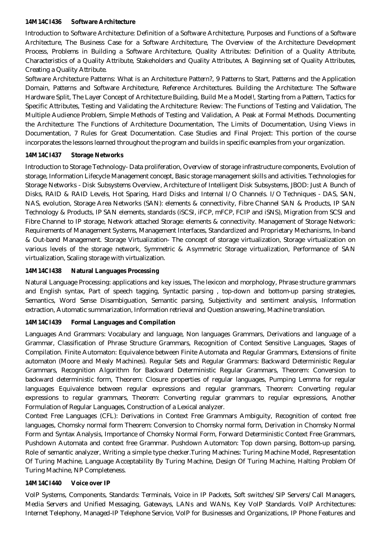#### **14M14CI436 Software Architecture**

Introduction to Software Architecture: Definition of a Software Architecture, Purposes and Functions of a Software Architecture, The Business Case for a Software Architecture, The Overview of the Architecture Development Process, Problems in Building a Software Architecture, Quality Attributes: Definition of a Quality Attribute, Characteristics of a Quality Attribute, Stakeholders and Quality Attributes, A Beginning set of Quality Attributes, Creating a Quality Attribute.

Software Architecture Patterns: What is an Architecture Pattern?, 9 Patterns to Start, Patterns and the Application Domain, Patterns and Software Architecture, Reference Architectures. Building the Architecture: The Software Hardware Split, The Layer Concept of Architecture Building, Build Me a Model!, Starting from a Pattern, Tactics for Specific Attributes, Testing and Validating the Architecture: Review: The Functions of Testing and Validation, The Multiple Audience Problem, Simple Methods of Testing and Validation, A Peak at Formal Methods. Documenting the Architecture: The Functions of Architecture Documentation, The Limits of Documentation, Using Views in Documentation, 7 Rules for Great Documentation. Case Studies and Final Project: This portion of the course incorporates the lessons learned throughout the program and builds in specific examples from your organization.

#### **14M14CI437 Storage Networks**

Introduction to Storage Technology- Data proliferation, Overview of storage infrastructure components, Evolution of storage, Information Lifecycle Management concept, Basic storage management skills and activities. Technologies for Storage Networks - Disk Subsystems Overview, Architecture of Intelligent Disk Subsystems, JBOD: Just A Bunch of Disks, RAID & RAID Levels, Hot Sparing, Hard Disks and Internal I/O Channels. I/O Techniques - DAS, SAN, NAS, evolution, Storage Area Networks (SAN): elements & connectivity, Fibre Channel SAN & Products, IP SAN Technology & Products, IP SAN elements, standards (iSCSI, iFCP, mFCP, FCIP and iSNS), Migration from SCSI and Fibre Channel to IP storage, Network attached Storage: elements & connectivity. Management of Storage Network: Requirements of Management Systems, Management Interfaces, Standardized and Proprietary Mechanisms, In-band & Out-band Management. Storage Virtualization- The concept of storage virtualization, Storage virtualization on various levels of the storage network, Symmetric & Asymmetric Storage virtualization, Performance of SAN virtualization, Scaling storage with virtualization.

#### **14M14CI438 Natural Languages Processing**

Natural Language Processing: applications and key issues, The lexicon and morphology, Phrase structure grammars and English syntax, Part of speech tagging, Syntactic parsing , top-down and bottom-up parsing strategies, Semantics, Word Sense Disambiguation, Semantic parsing, Subjectivity and sentiment analysis, Information extraction, Automatic summarization, Information retrieval and Question answering, Machine translation.

#### **14M14CI439 Formal Languages and Compilation**

Languages And Grammars: Vocabulary and language, Non languages Grammars, Derivations and language of a Grammar, Classification of Phrase Structure Grammars, Recognition of Context Sensitive Languages, Stages of Compilation. Finite Automaton: Equivalence between Finite Automata and Regular Grammars, Extensions of finite automaton (Moore and Mealy Machines). Regular Sets and Regular Grammars: Backward Deterministic Regular Grammars, Recognition Algorithm for Backward Deterministic Regular Grammars, Theorem: Conversion to backward deterministic form, Theorem: Closure properties of regular languages, Pumping Lemma for regular languages Equivalence between regular expressions and regular grammars, Theorem: Converting regular expressions to regular grammars, Theorem: Converting regular grammars to regular expressions, Another Formulation of Regular Languages, Construction of a Lexical analyzer.

Context Free Languages (CFL): Derivations in Context Free Grammars Ambiguity, Recognition of context free languages, Chomsky normal form Theorem: Conversion to Chomsky normal form, Derivation in Chomsky Normal Form and Syntax Analysis, Importance of Chomsky Normal Form, Forward Deterministic Context Free Grammars, Pushdown Automata and context free Grammar. Pushdown Automaton: Top down parsing, Bottom-up parsing, Role of semantic analyzer, Writing a simple type checker.Turing Machines: Turing Machine Model, Representation Of Turing Machine, Language Acceptability By Turing Machine, Design Of Turing Machine, Halting Problem Of Turing Machine, NP Completeness.

#### **14M14CI440 Voice over IP**

VoIP Systems, Components, Standards: Terminals, Voice in IP Packets, Soft switches/SIP Servers/Call Managers, Media Servers and Unified Messaging, Gateways, LANs and WANs, Key VoIP Standards. VoIP Architectures: Internet Telephony, Managed-IP Telephone Service, VoIP for Businesses and Organizations, IP Phone Features and